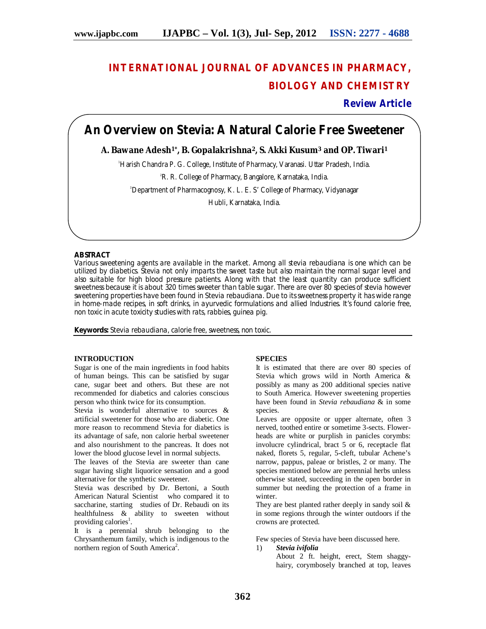# **INTERNATIONAL JOURNAL OF ADVANCES IN PHARMACY, BIOLOGY AND CHEMISTRY**

**Review Article**

## **An Overview on Stevia: A Natural Calorie Free Sweetener**

## **A. Bawane Adesh1\*, B. Gopalakrishna2, S. Akki Kusum<sup>3</sup> and OP. Tiwari<sup>1</sup>**

<sup>1</sup>Harish Chandra P. G. College, Institute of Pharmacy, Varanasi. Uttar Pradesh, India.

<sup>2</sup>R. R. College of Pharmacy, Bangalore, Karnataka, India.

<sup>3</sup>Department of Pharmacognosy, K. L. E. S' College of Pharmacy, Vidyanagar

Hubli, Karnataka, India.

## **ABSTRACT**

Various sweetening agents are available in the market. Among all stevia rebaudiana is one which can be utilized by diabetics. Stevia not only imparts the sweet taste but also maintain the normal sugar level and also suitable for high blood pressure patients. Along with that the least quantity can produce sufficient sweetness because it is about 320 times sweeter than table sugar. There are over 80 species of stevia however sweetening properties have been found in Stevia rebaudiana. Due to its sweetness property it has wide range in home-made recipes, in soft drinks, in ayurvedic formulations and allied Industries. It's found calorie free, non toxic in acute toxicity studies with rats, rabbies, guinea pig.

**Keywords:** Stevia rebaudiana, calorie free, sweetness, non toxic.

## **INTRODUCTION**

Sugar is one of the main ingredients in food habits of human beings. This can be satisfied by sugar cane, sugar beet and others. But these are not recommended for diabetics and calories conscious person who think twice for its consumption.

Stevia is wonderful alternative to sources & artificial sweetener for those who are diabetic. One more reason to recommend Stevia for diabetics is its advantage of safe, non calorie herbal sweetener and also nourishment to the pancreas. It does not lower the blood glucose level in normal subjects.

The leaves of the Stevia are sweeter than cane sugar having slight liquorice sensation and a good alternative for the synthetic sweetener.

Stevia was described by Dr. Bertoni, a South American Natural Scientist who compared it to saccharine, starting studies of Dr. Rebaudi on its healthfulness & ability to sweeten without providing calories<sup>1</sup>.

It is a perennial shrub belonging to the Chrysanthemum family, which is indigenous to the northern region of South America<sup>2</sup>.

## **SPECIES**

It is estimated that there are over 80 species of Stevia which grows wild in North America & possibly as many as 200 additional species native to South America. However sweetening properties have been found in *Stevia rebaudiana* & in some species.

Leaves are opposite or upper alternate, often 3 nerved, toothed entire or sometime 3-sects. Flowerheads are white or purplish in panicles corymbs: involucre cylindrical, bract 5 or 6, receptacle flat naked, florets 5, regular, 5-cleft, tubular Achene's narrow, pappus, paleae or bristles, 2 or many. The species mentioned below are perennial herbs unless otherwise stated, succeeding in the open border in summer but needing the protection of a frame in winter.

They are best planted rather deeply in sandy soil & in some regions through the winter outdoors if the crowns are protected.

Few species of Stevia have been discussed here.

1) *Stevia ivifolia*

About 2 ft. height, erect, Stem shaggyhairy, corymbosely branched at top, leaves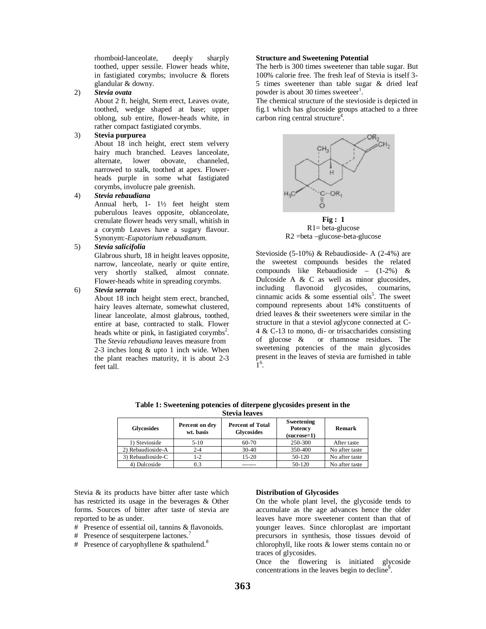rhomboid-lanceolate, deeply sharply toothed, upper sessile. Flower heads white, in fastigiated corymbs; involucre & florets glandular & downy.

2) *Stevia ovata*

About 2 ft. height, Stem erect, Leaves ovate, toothed, wedge shaped at base; upper oblong, sub entire, flower-heads white, in rather compact fastigiated corymbs.

## 3) **Stevia purpurea**

About 18 inch height, erect stem velvery hairy much branched. Leaves lanceolate, alternate. lower obovate. channeled. alternate, lower obovate, channeled, narrowed to stalk, toothed at apex. Flowerheads purple in some what fastigiated corymbs, involucre pale greenish.

#### 4) *Stevia rebaudiana*

Annual herb, 1- 1½ feet height stem puberulous leaves opposite, oblanceolate, crenulate flower heads very small, whitish in a corymb Leaves have a sugary flavour. Synonym:-*Eupatorium rebaudianum*.

## 5) *Stevia salicifolia*

Glabrous shurb, 18 in height leaves opposite, narrow, lanceolate, nearly or quite entire, very shortly stalked, almost connate. Flower-heads white in spreading corymbs.

#### 6) *Stevia serrata*

About 18 inch height stem erect, branched, hairy leaves alternate, somewhat clustered, linear lanceolate, almost glabrous, toothed, entire at base, contracted to stalk. Flower heads white or pink, in fastigiated corymbs<sup>2</sup>. The *Stevia rebaudiana* leaves measure from 2-3 inches long & upto 1 inch wide. When the plant reaches maturity, it is about 2-3 feet tall.

#### **Structure and Sweetening Potential**

The herb is 300 times sweetener than table sugar. But 100% calorie free. The fresh leaf of Stevia is itself 3- 5 times sweetener than table sugar & dried leaf powder is about 30 times sweeteer<sup>1</sup>.

The chemical structure of the stevioside is depicted in fig.1 which has glucoside groups attached to a three carbon ring central structure<sup>4</sup>.



**Fig : 1**  $R1$  = beta-glucose R2 =beta –glucose-beta-glucose

Stevioside (5-10%) & Rebaudioside- A (2-4%) are the sweetest compounds besides the related compounds like Rebaudioside – (1-2%) & Dulcoside A  $&$  C as well as minor glucosides, including flavonoid glycosides, coumarins, cinnamic acids  $\&$  some essential oils<sup>5</sup>. The sweet compound represents about 14% constituents of dried leaves  $\&$  their sweeteners were similar in the structure in that a steviol aglycone connected at C-4 & C-13 to mono, di- or trisaccharides consisting of glucose & or rhamnose residues. The sweetening potencies of the main glycosides present in the leaves of stevia are furnished in table  $\hat{1}^6$ .

| <b>Glycosides</b> | Percent on dry<br>wt. basis | <b>Percent of Total</b><br><b>Glycosides</b> | Sweetening<br>Potency<br>$(sucrose=1)$ | Remark         |
|-------------------|-----------------------------|----------------------------------------------|----------------------------------------|----------------|
| 1) Stevioside     | $5-10$                      | 60-70                                        | 250-300                                | After taste    |
| 2) Rebaudioside-A | $2 - 4$                     | $30-40$                                      | 350-400                                | No after taste |
| 3) Rebaudioside-C | $1-2$                       | $15-20$                                      | 50-120                                 | No after taste |
| 4) Dulcoside      | 0.3                         |                                              | 50-120                                 | No after taste |

**Table 1: Sweetening potencies of diterpene glycosides present in the Stevia leaves**

Stevia & its products have bitter after taste which has restricted its usage in the beverages & Other forms. Sources of bitter after taste of stevia are reported to be as under.

- # Presence of essential oil, tannins & flavonoids.
- # Presence of sesquiterpene lactones.<sup>7</sup>
- # Presence of caryophyllene & spathulend.<sup>8</sup>

#### **Distribution of Glycosides**

On the whole plant level, the glycoside tends to accumulate as the age advances hence the older leaves have more sweetener content than that of younger leaves. Since chloroplast are important precursors in synthesis, those tissues devoid of chlorophyll, like roots & lower stems contain no or traces of glycosides.

Once the flowering is initiated glycoside concentrations in the leaves begin to decline<sup>9</sup>.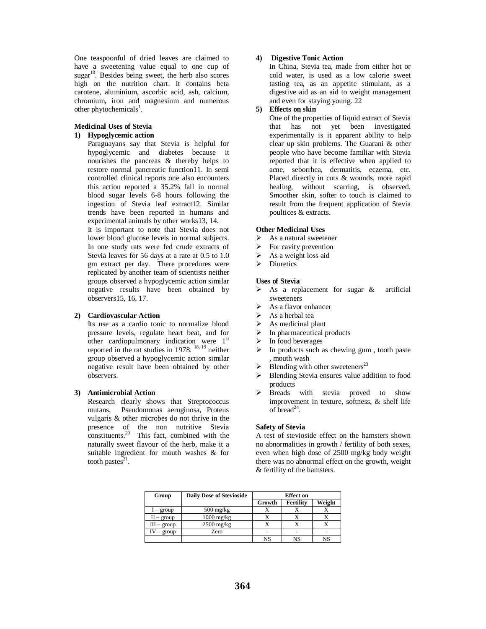One teaspoonful of dried leaves are claimed to have a sweetening value equal to one cup of sugar<sup>10</sup>. Besides being sweet, the herb also scores high on the nutrition chart. It contains beta carotene, aluminium, ascorbic acid, ash, calcium, chromium, iron and magnesium and numerous other phytochemicals<sup>1</sup>.

#### **Medicinal Uses of Stevia**

#### **1) Hypoglycemic action**

Paraguayans say that Stevia is helpful for hypoglycemic and diabetes because it nourishes the pancreas & thereby helps to restore normal pancreatic function11. In semi controlled clinical reports one also encounters this action reported a 35.2% fall in normal blood sugar levels 6-8 hours following the ingestion of Stevia leaf extract12. Similar trends have been reported in humans and experimental animals by other works13, 14.

It is important to note that Stevia does not lower blood glucose levels in normal subjects. In one study rats were fed crude extracts of Stevia leaves for 56 days at a rate at 0.5 to 1.0 gm extract per day. There procedures were replicated by another team of scientists neither groups observed a hypoglycemic action similar negative results have been obtained by observers15, 16, 17.

#### **2) Cardiovascular Action**

Its use as a cardio tonic to normalize blood pressure levels, regulate heart beat, and for other cardiopulmonary indication were 1<sup>st</sup> reported in the rat studies in 1978. <sup>18, 19</sup> neither group observed a hypoglycemic action similar negative result have been obtained by other observers.

## **3) Antimicrobial Action**

Research clearly shows that Streptococcus mutans, Pseudomonas aeruginosa, Proteus vulgaris & other microbes do not thrive in the presence of the non nutritive Stevia constituents. $20$  This fact, combined with the naturally sweet flavour of the herb, make it a suitable ingredient for mouth washes & for tooth pastes $21$ .

## **4) Digestive Tonic Action**

In China, Stevia tea, made from either hot or cold water, is used as a low calorie sweet tasting tea, as an appetite stimulant, as a digestive aid as an aid to weight management and even for staying young. 22

#### **5) Effects on skin**

One of the properties of liquid extract of Stevia that has not yet been investigated experimentally is it apparent ability to help clear up skin problems. The Guarani & other people who have become familiar with Stevia reported that it is effective when applied to acne, seborrhea, dermatitis, eczema, etc. Placed directly in cuts & wounds, more rapid healing, without scarring, is observed. Smoother skin, softer to touch is claimed to result from the frequent application of Stevia poultices & extracts.

## **Other Medicinal Uses**

- As a natural sweetener
- $\triangleright$  For cavity prevention
- $\triangleright$  As a weight loss aid
- $\triangleright$  Diuretics

#### **Uses of Stevia**

- $\triangleright$  As a replacement for sugar & artificial sweeteners
- $\triangleright$  As a flavor enhancer<br> $\triangleright$  As a herbal tea
- $\geq$  As a herbal tea<br> $\geq$  As medicinal p
- As medicinal plant
- $\triangleright$  In pharmaceutical products
- $\triangleright$  In food beverages
- $\triangleright$  In products such as chewing gum, tooth paste , mouth wash
- Blending with other sweeteners<sup>23</sup>
- Blending Stevia ensures value addition to food products
- > Breads with stevia proved to show improvement in texture, softness, & shelf life of  $\bar{b}$ read<sup>24</sup>.

## **Safety of Stevia**

A test of stevioside effect on the hamsters shown no abnormalities in growth / fertility of both sexes, even when high dose of 2500 mg/kg body weight there was no abnormal effect on the growth, weight & fertility of the hamsters.

| Group         | <b>Daily Dose of Stevioside</b> | <b>Effect</b> on |           |        |  |
|---------------|---------------------------------|------------------|-----------|--------|--|
|               |                                 | Growth           | Fertility | Weight |  |
| $I - group$   | $500 \text{ mg/kg}$             |                  |           |        |  |
| $II - group$  | $1000$ mg/kg                    |                  |           |        |  |
| $III - group$ | $2500$ mg/kg                    |                  |           |        |  |
| group         | Zero                            |                  |           |        |  |
|               |                                 | NS               | NS        | NS     |  |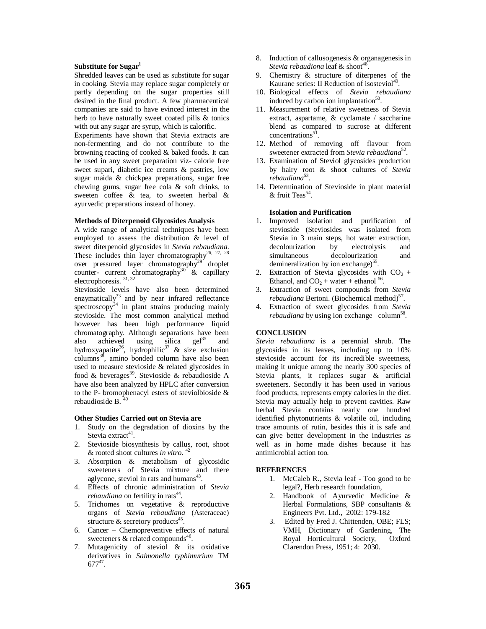#### **Substitute for Sugar<sup>1</sup>**

Shredded leaves can be used as substitute for sugar in cooking. Stevia may replace sugar completely or partly depending on the sugar properties still desired in the final product. A few pharmaceutical companies are said to have evinced interest in the herb to have naturally sweet coated pills & tonics with out any sugar are syrup, which is calorific.

Experiments have shown that Stevia extracts are non-fermenting and do not contribute to the browning reacting of cooked & baked foods. It can be used in any sweet preparation viz- calorie free sweet supari, diabetic ice creams & pastries, low sugar maida & chickpea preparations, sugar free chewing gums, sugar free cola & soft drinks, to sweeten coffee & tea, to sweeten herbal & ayurvedic preparations instead of honey.

#### **Methods of Diterpenoid Glycosides Analysis**

A wide range of analytical techniques have been employed to assess the distribution & level of sweet diterpenoid glycosides in *Stevia rebaudiana*. These includes thin layer chromatography<sup>26, 27, 28</sup> over pressured layer chromatography<sup>29</sup> droplet counter- current chromatography<sup>30</sup>  $\&$  capillary electrophoresis.<sup>31,32</sup>

Stevioside levels have also been determined enzymatically<sup>33</sup> and by near infrared reflectance spectroscopy $34$  in plant strains producing mainly stevioside. The most common analytical method however has been high performance liquid chromatography. Although separations have been also achieved using silica  $gel^{35}$  and hydroxyapatite<sup>36</sup>, hydrophilic<sup>37</sup> & size exclusion columns<sup>38</sup>, amino bonded column have also been used to measure stevioside & related glycosides in food & beverages<sup>39</sup>. Stevioside & rebaudioside A have also been analyzed by HPLC after conversion to the P- bromophenacyl esters of steviolbioside & rebaudioside B.

#### **Other Studies Carried out on Stevia are**

- 1. Study on the degradation of dioxins by the Stevia extract<sup>41</sup>.
- 2. Stevioside biosynthesis by callus, root, shoot & rooted shoot cultures *in vitro.* <sup>42</sup>
- 3. Absorption & metabolism of glycosidic sweeteners of Stevia mixture and there aglycone, steviol in rats and humans<sup>43</sup>.
- 4. Effects of chronic administration of *Stevia rebaudiana* on fertility in rats<sup>44</sup>.
- 5. Trichomes on vegetative & reproductive organs of *Stevia rebaudiana* (Asteraceae) structure & secretory products<sup>45</sup>.
- 6. Cancer Chemopreventive effects of natural sweeteners  $\&$  related compounds<sup>46</sup>.
- 7. Mutagenicity of steviol & its oxidative derivatives in *Salmonella typhimurium* TM  $677^{47}$ .
- 8. Induction of callusogenesis & organagenesis in Stevia rebaudiona leaf & shoot<sup>48</sup>.
- 9. Chemistry & structure of diterpenes of the Kaurane series: II Reduction of isosteviol<sup>49</sup> .
- 10. Biological effects of *Stevia rebaudiana* induced by carbon ion implantation<sup>50</sup>.
- 11. Measurement of relative sweetness of Stevia extract, aspartame, & cyclamate / saccharine blend as compared to sucrose at different concentrations<sup>51</sup>.
- 12. Method of removing off flavour from sweetener extracted from *Stevia rebaudiana*<sup>52</sup>.
- 13. Examination of Steviol glycosides production by hairy root & shoot cultures of *Stevia*  rebaudiana<sup>53</sup>.
- 14. Determination of Stevioside in plant material  $&$  fruit Teas<sup>54</sup>.

#### **Isolation and Purification**

- 1. Improved isolation and purification of stevioside (Steviosides was isolated from Stevia in 3 main steps, hot water extraction, decolourization by electrolysis and simultaneous decolourization and demineralization by ion exchange)<sup>55</sup>.
- 2. Extraction of Stevia glycosides with  $CO<sub>2</sub>$  + Ethanol, and  $CO<sub>2</sub> + water + ethanol<sup>56</sup>$ .
- 3. Extraction of sweet compounds from *Stevia*  rebaudiana Bertoni. (Biochemical method)<sup>57</sup>.
- 4. Extraction of sweet glycosides from *Stevia*  rebaudiana by using ion exchange column<sup>58</sup>.

#### **CONCLUSION**

*Stevia rebaudiana* is a perennial shrub. The glycosides in its leaves, including up to 10% stevioside account for its incredible sweetness, making it unique among the nearly 300 species of Stevia plants, it replaces sugar & artificial sweeteners. Secondly it has been used in various food products, represents empty calories in the diet. Stevia may actually help to prevent cavities. Raw herbal Stevia contains nearly one hundred identified phytonutrients & volatile oil, including trace amounts of rutin, besides this it is safe and can give better development in the industries as well as in home made dishes because it has antimicrobial action too.

#### **REFERENCES**

- 1. McCaleb R., Stevia leaf Too good to be legal?, Herb research foundation,
- 2. Handbook of Ayurvedic Medicine & Herbal Formulations, SBP consultants & Engineers Pvt. Ltd., 2002: 179-182
- 3. Edited by Fred J. Chittenden, OBE; FLS; VMH, Dictionary of Gardening, The Royal Horticultural Society, Oxford Clarendon Press, 1951; 4: 2030.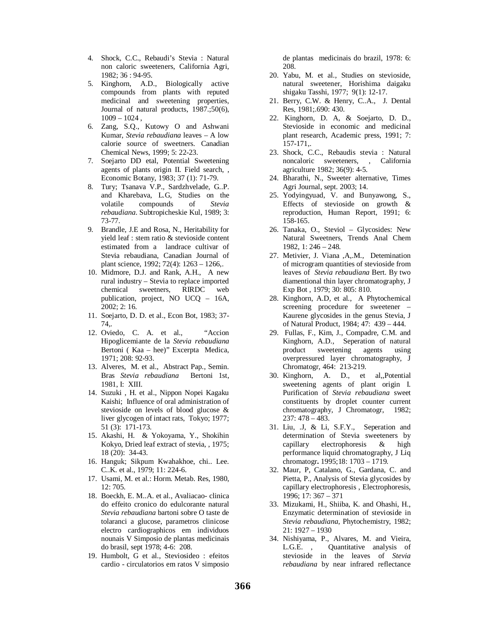- 4. Shock, C.C., Rebaudi's Stevia : Natural non caloric sweeteners, California Agri, 1982; 36 : 94-95.
- 5. Kinghorn, A.D., Biologically active compounds from plants with reputed medicinal and sweetening properties, Journal of natural products, 1987.;50(6),  $1009 - 1024$ ,
- 6. Zang, S.Q., Kutowy O and Ashwani Kumar, *Stevia rebaudiana* leaves – A low calorie source of sweetners. Canadian Chemical News, 1999; 5: 22-23.
- 7. Soejarto DD etal, Potential Sweetening agents of plants origin II. Field search, , Economic Botany, 1983; 37 (1): 71-79.
- 8. Tury; Tsanava V.P., Sardzhvelade, G..P. and Kharebava, L.G, Studies on the volatile compounds of *Stevia rebaudiana*. Subtropicheskie Kul, 1989; 3: 73-77.
- 9. Brandle, J.E and Rosa, N., Heritability for yield leaf : stem ratio & stevioside content estimated from a landrace cultivar of Stevia rebaudiana, Canadian Journal of plant science, 1992; 72(4): 1263 – 1266,.
- 10. Midmore, D.J. and Rank, A.H., A new rural industry – Stevia to replace imported chemical sweetners, RIRDC web publication, project, NO UCQ – 16A, 2002; 2: 16.
- 11. Soejarto, D. D. et al., Econ Bot, 1983; 37- 74,.
- 12. Oviedo, C. A. et al., "Accion Hipoglicemiante de la *Stevia rebaudiana* Bertoni ( Kaa – hee)" Excerpta Medica, 1971; 208: 92-93.
- 13. Alveres, M. et al., Abstract Pap., Semin. Bras *Stevia rebaudiana* Bertoni 1st, 1981, I: XIII.
- 14. Suzuki , H. et al., Nippon Nopei Kagaku Kaishi; Influence of oral administration of stevioside on levels of blood glucose & liver glycogen of intact rats, Tokyo; 1977; 51 (3): 171-173.
- 15. Akashi, H. & Yokoyama, Y., Shokihin Kokyo, Dried leaf extract of stevia, , 1975; 18 (20): 34-43.
- 16. Hanguk; Sikpum Kwahakhoe, chi.. Lee. C..K. et al., 1979; 11: 224-6.
- 17. Usami, M. et al.: Horm. Metab. Res, 1980, 12: 705.
- 18. Boeckh, E. M..A. et al., Avaliacao- clinica do effeito cronico do edulcorante natural *Stevia rebaudiana* bartoni sobre O taste de tolaranci a glucose, parametros clinicose electro cardiographicos em individuos nounais V Simposio de plantas medicinais do brasil, sept 1978; 4-6: 208.
- 19. Humbolt, G et al., Steviosideo : efeitos cardio - circulatorios em ratos V simposio

de plantas medicinais do brazil, 1978: 6: 208.

- 20. Yabu, M. et al., Studies on stevioside, natural sweetener, Horishima daigaku shigaku Tasshi, 1977; 9(1): 12-17.
- 21. Berry, C.W. & Henry, C..A., J. Dental Res, 1981;.690: 430.
- 22. Kinghorn, D. A, & Soejarto, D. D., Stevioside in economic and medicinal plant research, Academic press, 1991; 7: 157-171,.
- 23. Shock, C.C., Rebaudis stevia : Natural noncaloric sweeteners, , California agriculture 1982; 36(9): 4-5.
- 24. Bharathi, N., Sweeter alternative, Times Agri Journal, sept. 2003; 14.
- 25. Yodyingyuad, V. and Bunyawong, S., Effects of stevioside on growth & reproduction, Human Report, 1991; 6: 158-165.
- 26. Tanaka, O., Steviol Glycosides: New Natural Sweetners, Trends Anal Chem 1982, 1: 246 – 248.
- 27. Metivier, J. Viana ,A,.M., Detemination of microgram quantities of stevioside from leaves of *Stevia rebaudiana* Bert. By two diamentional thin layer chromatography, J Exp Bot , 1979; 30: 805: 810.
- 28. Kinghorn, A.D, et al., A Phytochemical screening procedure for sweetener – Kaurene glycosides in the genus Stevia, J of Natural Product, 1984; 47: 439 – 444.
- 29. Fullas, F., Kim, J., Compadre, C.M. and Kinghorn, A.D., Seperation of natural product sweetening agents using overpressured layer chromatography, J Chromatogr, 464: 213-219.
- 30. Kinghorn, A. D., et al,,Potential sweetening agents of plant origin I. Purification of *Stevia rebaudiana* sweet constituents by droplet counter current chromatography, J Chromatogr, 1982; 237: 478 – 483.
- 31. Liu, .J, & Li, S.F.Y., Seperation and determination of Stevia sweeteners by capillary electrophoresis & high performance liquid chromatography, J Liq chromatogr**.** 1995;18: 1703 – 1719.
- 32. Maur, P, Catalano, G., Gardana, C. and Pietta, P., Analysis of Stevia glycosides by capillary electrophoresis , Electrophoresis, 1996; 17: 367 – 371
- 33. Mizukami, H., Shiiba, K. and Ohashi, H., Enzymatic determination of stevioside in *Stevia rebaudiana*, Phytochemistry, 1982; 21: 1927 – 1930
- 34. Nishiyama, P., Alvares, M. and Vieira, Quantitative analysis of stevioside in the leaves of *Stevia rebaudiana* by near infrared reflectance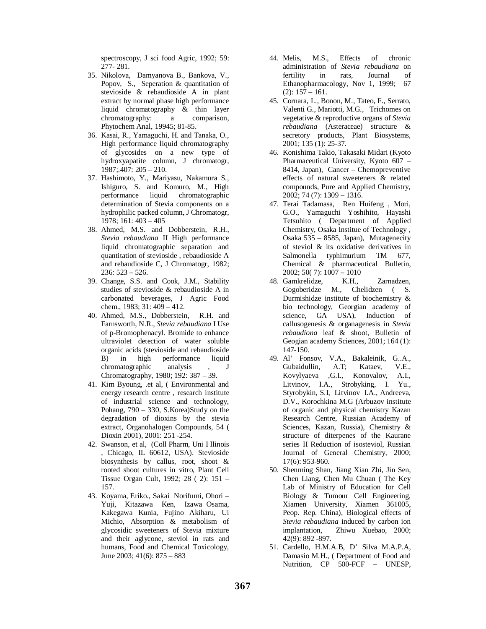spectroscopy, J sci food Agric, 1992; 59: 277- 281.

- 35. Nikolova, Damyanova B., Bankova, V., Popov, S., Seperation & quantitation of stevioside & rebaudioside A in plant extract by normal phase high performance liquid chromatography & thin layer chromatography: a comparison, Phytochem Anal, 19945; 81-85.
- 36. Kasai, R., Yamaguchi, H. and Tanaka, O., High performance liquid chromatography of glycosides on a new type of hydroxyapatite column, J chromatogr, 1987;.407: 205 – 210.
- 37. Hashimoto, Y., Mariyasu, Nakamura S., Ishiguro, S. and Komuro, M., High performance liquid chromatographic determination of Stevia components on a hydrophilic packed column, J Chromatogr, 1978; 161: 403 – 405
- 38. Ahmed, M.S. and Dobberstein, R.H., *Stevia rebaudiana* II High performance liquid chromatographic separation and quantitation of stevioside , rebaudioside A and rebaudioside C, J Chromatogr, 1982; 236: 523 – 526.
- 39. Change, S.S. and Cook, J.M., Stability studies of stevioside & rebaudioside A in carbonated beverages, J Agric Food chem., 1983; 31: 409 – 412.
- 40. Ahmed, M.S., Dobberstein, R.H. and Farnsworth, N.R., *Stevia rebaudiana* I Use of p-Bromophenacyl. Bromide to enhance ultraviolet detection of water soluble organic acids (stevioside and rebaudioside B) in high performance liquid chromatographic analysis , J Chromatography, 1980; 192: 387 – 39.
- 41. Kim Byoung, .et al, ( Environmental and energy research centre , research institute of industrial science and technology, Pohang, 790 – 330, S.Korea)Study on the degradation of dioxins by the stevia extract, Organohalogen Compounds, 54 ( Dioxin 2001), 2001: 251 -254.
- 42. Swanson, et al, (Coll Pharm, Uni I llinois , Chicago, IL 60612, USA). Stevioside biosynthesis by callus, root, shoot & rooted shoot cultures in vitro, Plant Cell Tissue Organ Cult, 1992; 28 ( 2): 151 – 157.
- 43. Koyama, Eriko., Sakai Norifumi, Ohori Yuji, Kitazawa Ken, Izawa Osama, Kakegawa Kunia, Fujino Akiharu, Ui Michio, Absorption & metabolism of glycosidic sweeteners of Stevia mixture and their aglycone, steviol in rats and humans, Food and Chemical Toxicology, June 2003; 41(6): 875 – 883
- 44. Melis, M.S., Effects of chronic administration of *Stevia rebaudiana* on fertility in rats, Journal of Ethanopharmacology, Nov 1, 1999; 67  $(2): 157 - 161.$
- 45. Cornara, L., Bonon, M., Tateo, F., Serrato, Valenti G., Mariotti, M.G., Trichomes on vegetative & reproductive organs of *Stevia rebaudiana* (Asteraceae) structure & secretory products, Plant Biosystems, 2001; 135 (1): 25-37.
- 46. Konishima Takio, Takasaki Midari (Kyoto Pharmaceutical University, Kyoto 607 – 8414, Japan), Cancer – Chemopreventive effects of natural sweeteners & related compounds, Pure and Applied Chemistry, 2002; 74 (7): 1309 – 1316.
- 47. Terai Tadamasa, Ren Huifeng , Mori, G.O., Yamaguchi Yoshihito, Hayashi Tetsuhito ( Department of Applied Chemistry, Osaka Institue of Technology , Osaka 535 – 8585, Japan), Mutagenecity of steviol & its oxidative derivatives in Salmonella typhimurium TM 677, Chemical & pharmaceutical Bulletin, 2002; 50( 7): 1007 – 1010
- 48. Gamkrelidze, K.H., Zarnadzen, Gogoberidze M., Chelidzen ( S. Durmishidze institute of biochemistry & bio technology, Georgian academy of science, GA USA), Induction of callusogenesis & organagenesis in *Stevia rebaudiona* leaf & shoot, Bulletin of Geogian academy Sciences, 2001; 164 (1): 147-150.
- 49. Al' Fonsov, V.A., Bakaleinik, G..A., Gubaidullin, A.T; Kataev, V.E., Kovylyaeva ,G.I., Konovalov, A.I., Litvinov, I.A., Strobyking, I. Yu., Styrobykin, S.I, Litvinov I.A., Andreeva, D.V., Korochkina M.G (Arbuzov institute of organic and physical chemistry Kazan Research Centre, Russian Academy of Sciences, Kazan, Russia), Chemistry & structure of diterpenes of the Kaurane series II Reduction of isosteviol, Russian Journal of General Chemistry, 2000; 17(6): 953-960.
- 50. Shenming Shan, Jiang Xian Zhi, Jin Sen, Chen Liang, Chen Mu Chuan ( The Key Lab of Ministry of Education for Cell Biology & Tumour Cell Engineering, Xiamen University, Xiamen 361005, Peop. Rep. China), Biological effects of *Stevia rebaudiana* induced by carbon ion implantation, Zhiwu Xuebao, 2000; 42(9): 892 -897.
- 51. Cardello, H.M.A.B, D' Silva M.A.P.A, Damasio M.H., ( Department of Food and Nutrition, CP 500-FCF – UNESP,